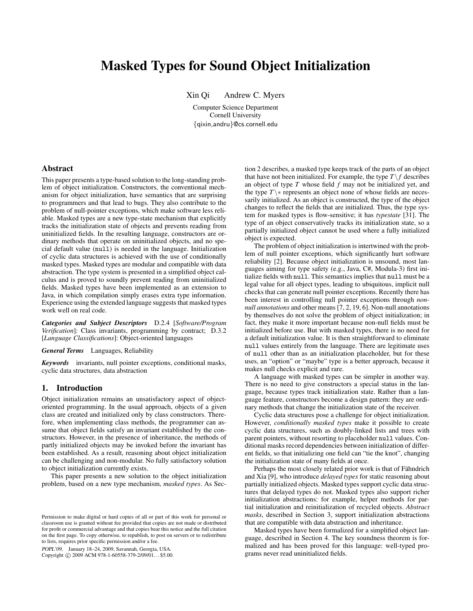# Masked Types for Sound Object Initialization

Xin Qi Andrew C. Myers

Computer Science Department Cornell University {qixin,andru}@cs.cornell.edu

## Abstract

This paper presents a type-based solution to the long-standing problem of object initialization. Constructors, the conventional mechanism for object initialization, have semantics that are surprising to programmers and that lead to bugs. They also contribute to the problem of null-pointer exceptions, which make software less reliable. Masked types are a new type-state mechanism that explicitly tracks the initialization state of objects and prevents reading from uninitialized fields. In the resulting language, constructors are ordinary methods that operate on uninitialized objects, and no special default value (null) is needed in the language. Initialization of cyclic data structures is achieved with the use of conditionally masked types. Masked types are modular and compatible with data abstraction. The type system is presented in a simplified object calculus and is proved to soundly prevent reading from uninitialized fields. Masked types have been implemented as an extension to Java, in which compilation simply erases extra type information. Experience using the extended language suggests that masked types work well on real code.

*Categories and Subject Descriptors* D.2.4 [*Software/Program Verification*]: Class invariants, programming by contract; D.3.2 [*Language Classifications*]: Object-oriented languages

*General Terms* Languages, Reliability

*Keywords* invariants, null pointer exceptions, conditional masks, cyclic data structures, data abstraction

#### 1. Introduction

Object initialization remains an unsatisfactory aspect of objectoriented programming. In the usual approach, objects of a given class are created and initialized only by class constructors. Therefore, when implementing class methods, the programmer can assume that object fields satisfy an invariant established by the constructors. However, in the presence of inheritance, the methods of partly initialized objects may be invoked before the invariant has been established. As a result, reasoning about object initialization can be challenging and non-modular. No fully satisfactory solution to object initialization currently exists.

This paper presents a new solution to the object initialization problem, based on a new type mechanism, *masked types*. As Sec-

POPL'09, January 18–24, 2009, Savannah, Georgia, USA.

Copyright © 2009 ACM 978-1-60558-379-2/09/01... \$5.00.

tion 2 describes, a masked type keeps track of the parts of an object that have not been initialized. For example, the type  $T \setminus f$  describes an object of type *T* whose field *f* may not be initialized yet, and the type *T*\∗ represents an object none of whose fields are necessarily initialized. As an object is constructed, the type of the object changes to reflect the fields that are initialized. Thus, the type system for masked types is flow-sensitive; it has *typestate* [31]. The type of an object conservatively tracks its initialization state, so a partially initialized object cannot be used where a fully initialized object is expected.

The problem of object initialization is intertwined with the problem of null pointer exceptions, which significantly hurt software reliability [2]. Because object initialization is unsound, most languages aiming for type safety (e.g., Java, C#, Modula-3) first initialize fields with null. This semantics implies that null must be a legal value for all object types, leading to ubiquitous, implicit null checks that can generate null pointer exceptions. Recently there has been interest in controlling null pointer exceptions through *nonnull annotations* and other means [7, 2, 19, 6]. Non-null annotations by themselves do not solve the problem of object initialization; in fact, they make it more important because non-null fields must be initialized before use. But with masked types, there is no need for a default initialization value. It is then straightforward to eliminate null values entirely from the language. There are legitimate uses of null other than as an initialization placeholder, but for these uses, an "option" or "maybe" type is a better approach, because it makes null checks explicit and rare.

A language with masked types can be simpler in another way. There is no need to give constructors a special status in the language, because types track initialization state. Rather than a language feature, constructors become a design pattern: they are ordinary methods that change the initialization state of the receiver.

Cyclic data structures pose a challenge for object initialization. However, *conditionally masked types* make it possible to create cyclic data structures, such as doubly-linked lists and trees with parent pointers, without resorting to placeholder null values. Conditional masks record dependencies between initialization of different fields, so that initializing one field can "tie the knot", changing the initialization state of many fields at once.

Perhaps the most closely related prior work is that of Fähndrich and Xia [9], who introduce *delayed types* for static reasoning about partially initialized objects. Masked types support cyclic data structures that delayed types do not. Masked types also support richer initialization abstractions: for example, helper methods for partial initialization and reinitialization of recycled objects. *Abstract masks*, described in Section 3, support initialization abstractions that are compatible with data abstraction and inheritance.

Masked types have been formalized for a simplified object language, described in Section 4. The key soundness theorem is formalized and has been proved for this language: well-typed programs never read uninitialized fields.

Permission to make digital or hard copies of all or part of this work for personal or classroom use is granted without fee provided that copies are not made or distributed for profit or commercial advantage and that copies bear this notice and the full citation on the first page. To copy otherwise, to republish, to post on servers or to redistribute to lists, requires prior specific permission and/or a fee.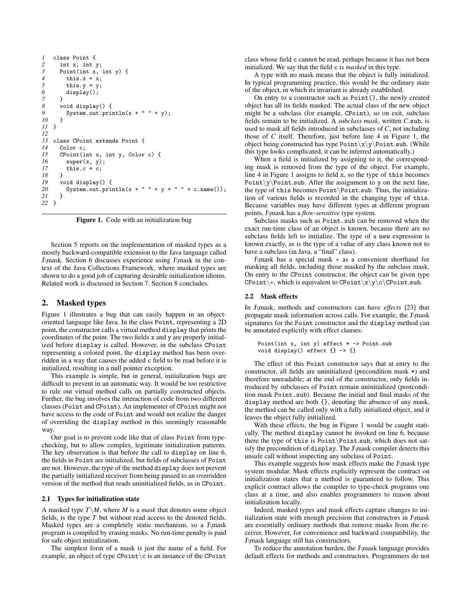```
1 class Point {
2 int x, int y;<br>3 Point(int x,
\begin{array}{ll} 3 & \text{Point(int x, int y)} \\ 4 & \text{this.} x = x \end{array}4 this.x = x;<br>5 this.y = y;
5 this.y = y;<br>6 display();
         6 display();
7 }
8 void display() {
         System.out.println(x + " " + y);10 }
11 }
12
13 class CPoint extends Point {
14 Color c;
15 CPoint(int x, int y, Color c) {
16 super(x, y);<br>17 this.c = c;
         this.c = c;18 }
19 void display() {
      2ystem.out.println(x + " " + y + " " + c.name());<br>}
21 }
22 }
```
Figure 1. Code with an initialization bug

Section 5 reports on the implementation of masked types as a mostly backward-compatible extension to the Java language called J\mask. Section 6 discusses experience using J\mask in the context of the Java Collections Framework, where masked types are shown to do a good job of capturing desirable initialization idioms. Related work is discussed in Section 7. Section 8 concludes.

# 2. Masked types

Figure 1 illustrates a bug that can easily happen in an objectoriented language like Java. In the class Point, representing a 2D point, the constructor calls a virtual method display that prints the coordinates of the point. The two fields x and y are properly initialized before display is called. However, in the subclass CPoint representing a colored point, the display method has been overridden in a way that causes the added c field to be read before it is initialized, resulting in a null pointer exception.

This example is simple, but in general, initialization bugs are difficult to prevent in an automatic way. It would be too restrictive to rule out virtual method calls on partially constructed objects. Further, the bug involves the interaction of code from two different classes (Point and CPoint). An implementer of CPoint might not have access to the code of Point and would not realize the danger of overriding the display method in this seemingly reasonable way.

Our goal is to prevent code like that of class Point from typechecking, but to allow complex, legitimate initialization patterns. The key observation is that before the call to display on line 6, the fields in Point are initialized, but fields of subclasses of Point are not. However, the type of the method display does not prevent the partially initialized receiver from being passed to an overridden version of the method that reads uninitialized fields, as in CPoint.

## 2.1 Types for initialization state

A masked type  $T \setminus M$ , where *M* is a *mask* that denotes some object fields, is the type *T* but without read access to the denoted fields. Masked types are a completely static mechanism, so a J\mask program is compiled by erasing masks. No run-time penalty is paid for safe object initialization.

The simplest form of a mask is just the name of a field. For example, an object of type CPoint  $\c$  is an instance of the CPoint class whose field c cannot be read, perhaps because it has not been initialized. We say that the field c is *masked* in this type.

A type with no mask means that the object is fully initialized. In typical programming practice, this would be the ordinary state of the object, in which its invariant is already established.

On entry to a constructor such as Point(), the newly created object has all its fields masked. The actual class of the new object might be a subclass (for example, CPoint), so on exit, subclass fields remain to be initialized. A *subclass mask*, written *C*.sub, is used to mask all fields introduced in subclasses of *C*, not including those of *C* itself. Therefore, just before line 4 in Figure 1, the object being constructed has type  $Point\x\y\Point$ . While this type looks complicated, it can be inferred automatically.)

When a field is initialized by assigning to it, the corresponding mask is removed from the type of the object. For example, line 4 in Figure 1 assigns to field x, so the type of this becomes Point $\y\colon$ Point.sub. After the assignment to y on the next line, the type of this becomes Point\Point.sub. Thus, the initialization of various fields is recorded in the changing type of this. Because variables may have different types at different program points, J\mask has a *flow-sensitive* type system.

Subclass masks such as Point.sub can be removed when the exact run-time class of an object is known, because there are no subclass fields left to initialize. The type of a new expression is known exactly, as is the type of a value of any class known not to have a subclass (in Java, a "final" class).

J\mask has a special mask ∗ as a convenient shorthand for masking all fields, including those masked by the subclass mask. On entry to the CPoint constructor, the object can be given type  $CPoint\$ \\*, which is equivalent to <math>CPoint\x\y\c\CPoint.sub</math>.

#### 2.2 Mask effects

In J\mask, methods and constructors can have *effects* [23] that propagate mask information across calls. For example, the J\mask signatures for the Point constructor and the display method can be annotated explicitly with effect clauses:

```
Point(int x, int y) effect * -> Point.sub
void display() effect {} -> {}
```
The effect of this Point constructor says that at entry to the constructor, all fields are uninitialized (precondition mask \*) and therefore unreadable; at the end of the constructor, only fields introduced by subclasses of Point remain uninitialized (postcondition mask Point.sub). Because the initial and final masks of the display method are both {}, denoting the absence of any mask, the method can be called only with a fully initialized object, and it leaves the object fully initialized.

With these effects, the bug in Figure 1 would be caught statically. The method display cannot be invoked on line 6, because there the type of this is Point\Point.sub, which does not satisfy the precondition of display. The J\mask compiler detects this unsafe call without inspecting any subclass of Point.

This example suggests how mask effects make the J\mask type system modular. Mask effects explicitly represent the contract on initialization states that a method is guaranteed to follow. This explicit contract allows the compiler to type-check programs one class at a time, and also enables programmers to reason about initialization locally.

Indeed, masked types and mask effects capture changes to initialization state with enough precision that constructors in J\mask are essentially ordinary methods that remove masks from the receiver. However, for convenience and backward compatibility, the J\mask language still has constructors.

To reduce the annotation burden, the J\mask language provides default effects for methods and constructors. Programmers do not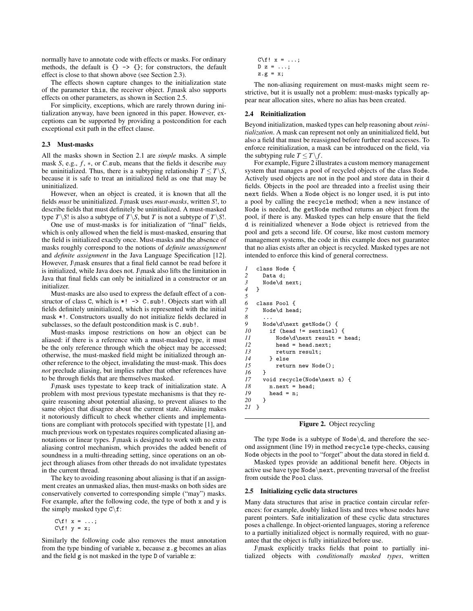normally have to annotate code with effects or masks. For ordinary methods, the default is  $\{\}$  ->  $\{\}$ ; for constructors, the default effect is close to that shown above (see Section 2.3).

The effects shown capture changes to the initialization state of the parameter this, the receiver object. J\mask also supports effects on other parameters, as shown in Section 2.5.

For simplicity, exceptions, which are rarely thrown during initialization anyway, have been ignored in this paper. However, exceptions can be supported by providing a postcondition for each exceptional exit path in the effect clause.

#### 2.3 Must-masks

All the masks shown in Section 2.1 are *simple* masks. A simple mask *S*, e.g., *f* , ∗, or *C*.sub, means that the fields it describe *may* be uninitialized. Thus, there is a subtyping relationship  $T \leq T \setminus S$ , because it is safe to treat an initialized field as one that may be uninitialized.

However, when an object is created, it is known that all the fields *must* be uninitialized. J\mask uses *must-masks*, written *S*!, to describe fields that must definitely be uninitialized. A must-masked type  $T\backslash S!$  is also a subtype of  $T\backslash S$ , but  $T$  is not a subtype of  $T\backslash S!$ .

One use of must-masks is for initialization of "final" fields, which is only allowed when the field is must-masked, ensuring that the field is initialized exactly once. Must-masks and the absence of masks roughly correspond to the notions of *definite unassignment* and *definite assignment* in the Java Language Specification [12]. However, J\mask ensures that a final field cannot be read before it is initialized, while Java does not. J\mask also lifts the limitation in Java that final fields can only be initialized in a constructor or an initializer.

Must-masks are also used to express the default effect of a constructor of class C, which is  $*!$   $\rightarrow$  C. sub!. Objects start with all fields definitely uninitialized, which is represented with the initial mask \*!. Constructors usually do not initialize fields declared in subclasses, so the default postcondition mask is  $C \cdot sub!$ .

Must-masks impose restrictions on how an object can be aliased: if there is a reference with a must-masked type, it must be the only reference through which the object may be accessed; otherwise, the must-masked field might be initialized through another reference to the object, invalidating the must-mask. This does *not* preclude aliasing, but implies rather that other references have to be through fields that are themselves masked.

J\mask uses typestate to keep track of initialization state. A problem with most previous typestate mechanisms is that they require reasoning about potential aliasing, to prevent aliases to the same object that disagree about the current state. Aliasing makes it notoriously difficult to check whether clients and implementations are compliant with protocols specified with typestate [1], and much previous work on typestates requires complicated aliasing annotations or linear types. J\mask is designed to work with no extra aliasing control mechanism, which provides the added benefit of soundness in a multi-threading setting, since operations on an object through aliases from other threads do not invalidate typestates in the current thread.

The key to avoiding reasoning about aliasing is that if an assignment creates an unmasked alias, then must-masks on both sides are conservatively converted to corresponding simple ("may") masks. For example, after the following code, the type of both x and y is the simply masked type  $C \$ f:

 $C \setminus f!$  x = ...; C\f!  $y = x$ ;

Similarly the following code also removes the must annotation from the type binding of variable  $x$ , because  $z$ .  $g$  becomes an alias and the field g is not masked in the type D of variable z:

 $C \ f! \ x = \ldots;$  $D \, z = \ldots;$  $z.g = x;$ 

The non-aliasing requirement on must-masks might seem restrictive, but it is usually not a problem: must-masks typically appear near allocation sites, where no alias has been created.

## 2.4 Reinitialization

Beyond initialization, masked types can help reasoning about *reinitialization*. A mask can represent not only an uninitialized field, but also a field that must be reassigned before further read accesses. To enforce reinitialization, a mask can be introduced on the field, via the subtyping rule  $T \leq T \backslash f$ .

For example, Figure 2 illustrates a custom memory management system that manages a pool of recycled objects of the class Node. Actively used objects are not in the pool and store data in their d fields. Objects in the pool are threaded into a freelist using their next fields. When a Node object is no longer used, it is put into a pool by calling the recycle method; when a new instance of Node is needed, the getNode method returns an object from the pool, if there is any. Masked types can help ensure that the field d is reinitialized whenever a Node object is retrieved from the pool and gets a second life. Of course, like most custom memory management systems, the code in this example does not guarantee that no alias exists after an object is recycled. Masked types are not intended to enforce this kind of general correctness.

```
1 class Node {
      Data d:
3 Node\d next;
    4 }
5
6 class Pool {
7 Node\d head;
8 ...
9 Node\d\next getNode() {<br>10 if (head != sentinel)
10 if (head != sentinel) {<br>11 Node\d\next result = 1
           11 Node\d\next result = head;
12 head = head.next;
13 return result;
14 } else
      15 return new Node();
16 }
17 void recycle(Node\next n) {18 n.next = head:
18 n.next = head;<br>19 head = n:
      head = n;<br>}
20 }
21 }
```
Figure 2. Object recycling

The type Node is a subtype of Node $\langle d \rangle$ , and therefore the second assignment (line 19) in method recycle type-checks, causing Node objects in the pool to "forget" about the data stored in field d.

Masked types provide an additional benefit here. Objects in active use have type Node\next, preventing traversal of the freelist from outside the Pool class.

#### 2.5 Initializing cyclic data structures

Many data structures that arise in practice contain circular references: for example, doubly linked lists and trees whose nodes have parent pointers. Safe initialization of these cyclic data structures poses a challenge. In object-oriented languages, storing a reference to a partially initialized object is normally required, with no guarantee that the object is fully initialized before use.

J\mask explicitly tracks fields that point to partially initialized objects with *conditionally masked types*, written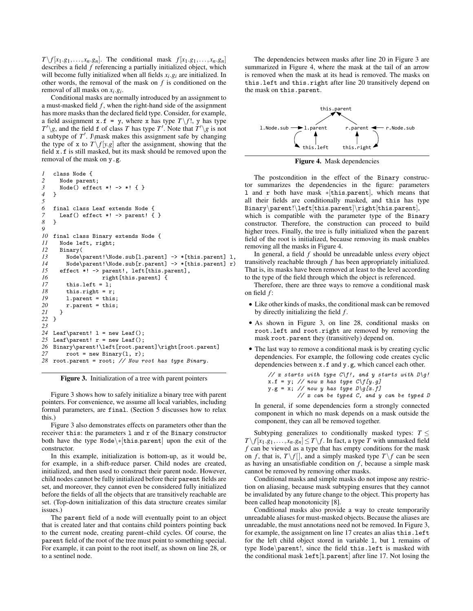$T\ f[x_1, g_1, \ldots, x_n, g_n]$ . The conditional mask  $f[x_1, g_1, \ldots, x_n, g_n]$ describes a field *f* referencing a partially initialized object, which will become fully initialized when all fields *xi* .*gi* are initialized. In other words, the removal of the mask on *f* is conditioned on the removal of all masks on *xi* .*gi* .

Conditional masks are normally introduced by an assignment to a must-masked field *f* , when the right-hand side of the assignment has more masks than the declared field type. Consider, for example, a field assignment  $x.f = y$ , where x has type  $T \ f!$ , y has type  $T' \gtrsim g$ , and the field f of class *T* has type *T*'. Note that  $T' \gtrsim g$  is not a subtype of  $T'$ . J\mask makes this assignment safe by changing the type of x to  $T \ f[y]$  after the assignment, showing that the field x.f is still masked, but its mask should be removed upon the removal of the mask on y.g.

```
1 class Node {
2 Node parent;<br>3 Node() effec
      3 Node() effect *! -> *! { }
4 }
5
6 final class Leaf extends Node {<br>7 Leaf() effect *' -> parent! {
7 Leaf() effect *! -> parent! { }
    8 }
9
   final class Binary extends Node {
11 Node left, right;
12 Binary(
13 Node\parent!\Node.sub[l.parent] -> *[this.parent] l,
14 Node\parent!\Node.sub[r.parent] -> *[this.parent] r)<br>15 effect *! -> parent!, left[this.parent],
15 effect *! -> parent!, left[this.parent],<br>
16 right[this.parent] {
16 right[this.parent] {<br>
17 this left = 1.
17 this.left = 1;<br>18 this right = r
18 this.right = r;
19 l.parent = this;
      \bar{r}.parent = this;
21 }
22 }
23
24 Leaf\parent! l = new Leaf();
25 Leaf \parent! r = new Leaf();
26 Binary\parent!\left[root.parent]\right[root.parent]
27 root = new Binary(l, r);
28 root.parent = root; // Now root has type Binary.
```
Figure 3. Initialization of a tree with parent pointers

Figure 3 shows how to safely initialize a binary tree with parent pointers. For convenience, we assume all local variables, including formal parameters, are final. (Section 5 discusses how to relax this.)

Figure 3 also demonstrates effects on parameters other than the receiver this: the parameters 1 and r of the Binary constructor both have the type Node\∗[this.parent] upon the exit of the constructor.

In this example, initialization is bottom-up, as it would be, for example, in a shift-reduce parser. Child nodes are created, initialized, and then used to construct their parent node. However, child nodes cannot be fully initialized before their parent fields are set, and moreover, they cannot even be considered fully initialized before the fields of all the objects that are transitively reachable are set. (Top-down initialization of this data structure creates similar issues.)

The parent field of a node will eventually point to an object that is created later and that contains child pointers pointing back to the current node, creating parent–child cycles. Of course, the parent field of the root of the tree must point to something special. For example, it can point to the root itself, as shown on line 28, or to a sentinel node.

The dependencies between masks after line 20 in Figure 3 are summarized in Figure 4, where the mask at the tail of an arrow is removed when the mask at its head is removed. The masks on this.left and this.right after line 20 transitively depend on the mask on this.parent.



Figure 4. Mask dependencies

The postcondition in the effect of the Binary constructor summarizes the dependencies in the figure: parameters l and r both have mask ∗[this.parent], which means that all their fields are conditionally masked, and this has type  $\label{thm:main} {\tt Binary} \space \verb|parent| \verb|left| \verb|inis.parent|,$ 

which is compatible with the parameter type of the Binary constructor. Therefore, the construction can proceed to build higher trees. Finally, the tree is fully initialized when the parent field of the root is initialized, because removing its mask enables removing all the masks in Figure 4.

In general, a field *f* should be unreadable unless every object transitively reachable through *f* has been appropriately initialized. That is, its masks have been removed at least to the level according to the type of the field through which the object is referenced.

Therefore, there are three ways to remove a conditional mask on field *f* :

- Like other kinds of masks, the conditional mask can be removed by directly initializing the field *f* .
- As shown in Figure 3, on line 28, conditional masks on root.left and root.right are removed by removing the mask root.parent they (transitively) depend on.
- The last way to remove a conditional mask is by creating cyclic dependencies. For example, the following code creates cyclic dependencies between x.f and y.g, which cancel each other.

// x starts with type  $C\backslash f!$ , and y starts with  $D\backslash q!$  $x.f = y;$  // now  $x$  has type  $C\backslash f[y.g]$  $y.g = x;$  // now  $y$  has type  $D\backslash g\left[ x.f\right]$ // x can be typed C, and y can be typed D

In general, if some dependencies form a strongly connected component in which no mask depends on a mask outside the component, they can all be removed together.

Subtyping generalizes to conditionally masked types:  $T \leq$  $T\ f[x_1, g_1, \ldots, x_n, g_n] \leq T\ f$ . In fact, a type *T* with unmasked field *f* can be viewed as a type that has empty conditions for the mask on *f*, that is,  $T\ f||$ , and a simply masked type  $T\ f$  can be seen as having an unsatisfiable condition on *f* , because a simple mask cannot be removed by removing other masks.

Conditional masks and simple masks do not impose any restriction on aliasing, because mask subtyping ensures that they cannot be invalidated by any future change to the object. This property has been called heap monotonicity [8].

Conditional masks also provide a way to create temporarily unreadable aliases for must-masked objects. Because the aliases are unreadable, the must annotations need not be removed. In Figure 3, for example, the assignment on line 17 creates an alias this.left for the left child object stored in variable l, but l remains of type Node\parent!, since the field this.left is masked with the conditional mask left[l.parent] after line 17. Not losing the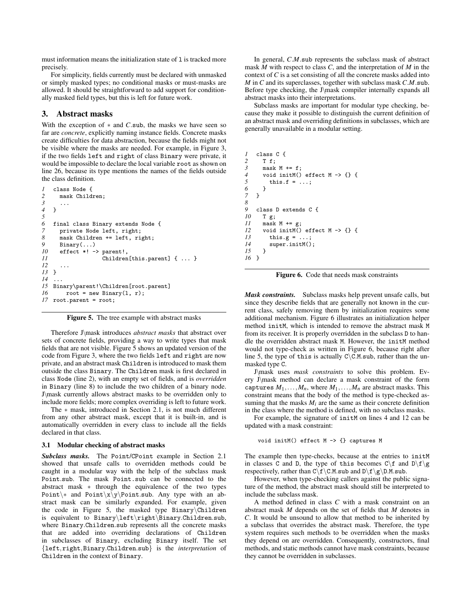must information means the initialization state of 1 is tracked more precisely.

For simplicity, fields currently must be declared with unmasked or simply masked types; no conditional masks or must-masks are allowed. It should be straightforward to add support for conditionally masked field types, but this is left for future work.

# 3. Abstract masks

With the exception of  $*$  and *C*.sub, the masks we have seen so far are *concrete*, explicitly naming instance fields. Concrete masks create difficulties for data abstraction, because the fields might not be visible where the masks are needed. For example, in Figure 3, if the two fields left and right of class Binary were private, it would be impossible to declare the local variable root as shown on line 26, because its type mentions the names of the fields outside the class definition.

```
1 class Node {
2 mask Children;<br>3 ...
     3 ...
4 }
5
6 final class Binary extends Node {
7 private Node left, right;
8 mask Children += left, right;
9 Binary(...)<br>10 effect *' -
10 effect *! -> parent!,<br>11 Children
11 Children[this.parent] { ... }
      12 ...
13 }
14 ...
15 Binary\parent!\Children[root.parent]
16 root = new Binary(l, r);
17 root.parent = root;
```
#### Figure 5. The tree example with abstract masks

Therefore J\mask introduces *abstract masks* that abstract over sets of concrete fields, providing a way to write types that mask fields that are not visible. Figure 5 shows an updated version of the code from Figure 3, where the two fields left and right are now private, and an abstract mask Children is introduced to mask them outside the class Binary. The Children mask is first declared in class Node (line 2), with an empty set of fields, and is *overridden* in Binary (line 8) to include the two children of a binary node. J\mask currently allows abstract masks to be overridden only to include more fields; more complex overriding is left to future work.

The ∗ mask, introduced in Section 2.1, is not much different from any other abstract mask, except that it is built-in, and is automatically overridden in every class to include all the fields declared in that class.

#### 3.1 Modular checking of abstract masks

*Subclass masks.* The Point/CPoint example in Section 2.1 showed that unsafe calls to overridden methods could be caught in a modular way with the help of the subclass mask Point.sub. The mask Point.sub can be connected to the abstract mask ∗ through the equivalence of the two types Point\∗ and Point\x\y\Point.sub. Any type with an abstract mask can be similarly expanded. For example, given the code in Figure 5, the masked type Binary\Children is equivalent to Binary\left\right\Binary.Children.sub, where Binary.Children.sub represents all the concrete masks that are added into overriding declarations of Children in subclasses of Binary, excluding Binary itself. The set {left,right,Binary.Children.sub} is the *interpretation* of Children in the context of Binary.

In general, *C*.*M*.sub represents the subclass mask of abstract mask *M* with respect to class *C*, and the interpretation of *M* in the context of *C* is a set consisting of all the concrete masks added into *M* in *C* and its superclasses, together with subclass mask *C*.*M*.sub. Before type checking, the J\mask compiler internally expands all abstract masks into their interpretations.

Subclass masks are important for modular type checking, because they make it possible to distinguish the current definition of an abstract mask and overriding definitions in subclasses, which are generally unavailable in a modular setting.

```
1 class C {
2 T f;
      mask M += f:
4 void initM() effect M -> {} {<br>5 this.f = ...:
        this.f = \dots;6 }
   7 }
8
9 class D extends C {<br>
10 \qquad T \t g;
10 T g;
      11 mask M += g;
12 void initM() effect M -> {} {
13 this.g = ...;
14 super.initM();
15 }
16 }
```
Figure 6. Code that needs mask constraints

*Mask constraints.* Subclass masks help prevent unsafe calls, but since they describe fields that are generally not known in the current class, safely removing them by initialization requires some additional mechanism. Figure 6 illustrates an initialization helper method initM, which is intended to remove the abstract mask M from its receiver. It is properly overridden in the subclass D to handle the overridden abstract mask M. However, the initM method would not type-check as written in Figure 6, because right after line 5, the type of this is actually  $C\setminus C.M$  sub, rather than the unmasked type C.

J\mask uses *mask constraints* to solve this problem. Every J\mask method can declare a mask constraint of the form captures  $M_1, \ldots, M_n$ , where  $M_1, \ldots, M_n$  are abstract masks. This constraint means that the body of the method is type-checked assuming that the masks  $M_i$  are the same as their concrete definition in the class where the method is defined, with no subclass masks.

For example, the signature of initM on lines 4 and 12 can be updated with a mask constraint:

void initM() effect M -> {} captures M

The example then type-checks, because at the entries to initM in classes C and D, the type of this becomes  $C \ f$  and  $D \ f\ g$ respectively, rather than  $C\f\C.M.sub$  and  $D\f\g\D.M.sub$ .

However, when type-checking callers against the public signature of the method, the abstract mask should still be interpreted to include the subclass mask.

A method defined in class *C* with a mask constraint on an abstract mask *M* depends on the set of fields that *M* denotes in *C*. It would be unsound to allow that method to be inherited by a subclass that overrides the abstract mask. Therefore, the type system requires such methods to be overridden when the masks they depend on are overridden. Consequently, constructors, final methods, and static methods cannot have mask constraints, because they cannot be overridden in subclasses.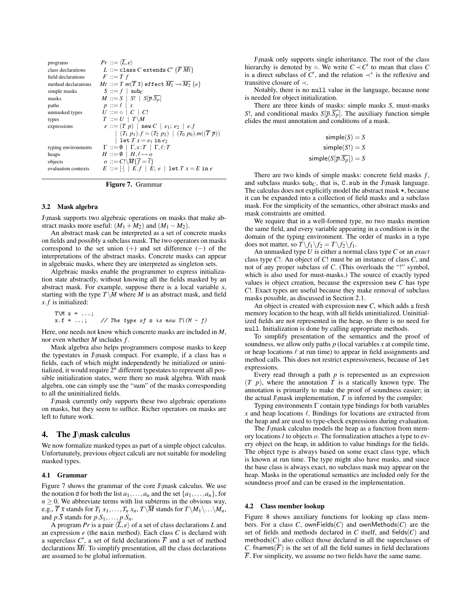| programs            | $Pr ::= \langle L, e \rangle$                                                                           |
|---------------------|---------------------------------------------------------------------------------------------------------|
| class declarations  | L ::= class C extends $C'\ \{\overline{F}\ \overline{M}\}\$                                             |
| field declarations  | $F ::= T f$                                                                                             |
| method declarations | Mt ::= $T m(\overline{T} \overline{x})$ effect $\overline{M_1} \rightsquigarrow \overline{M_2}$ $\{e\}$ |
| simple masks        | $S ::= f \mid sub_C$                                                                                    |
| masks               | $M ::= S   S!   S \overline{p} \cdot \overline{S_n}$                                                    |
| paths               | $p ::= \ell   x$                                                                                        |
| unmasked types      | $U ::= \circ \mid C \mid C!$                                                                            |
| types               | $T :: = U \mid T \backslash M$                                                                          |
| expressions         | $e ::= (T p)$   new $C$   $e_1$ ; $e_2$   $e.f$                                                         |
|                     | $(T_1 p_1) \cdot f = (T_2 p_2) (T_0 p_0) \cdot m((\overline{T} \overline{p}))$                          |
|                     | l let $T x = e_1$ in $e_2$                                                                              |
| typing environments | $\Gamma ::= \emptyset \mid \Gamma, x : T \mid \Gamma, \ell : T$                                         |
| heaps               | $H ::= \emptyset \mid H, \ell \mapsto \rho$                                                             |
| objects             | $o ::= C! \setminus \overline{M} \{ \overline{f} = \overline{\ell} \}$                                  |
| evaluation contexts | $E ::= [\cdot]   E.f   E; e   \text{let } T x = E \text{ in } e$                                        |
|                     |                                                                                                         |

Figure 7. Grammar

#### 3.2 Mask algebra

J\mask supports two algebraic operations on masks that make abstract masks more useful:  $(M_1 + M_2)$  and  $(M_1 - M_2)$ .

An abstract mask can be interpreted as a set of concrete masks on fields and possibly a subclass mask. The two operators on masks correspond to the set union  $(+)$  and set difference  $(-)$  of the interpretations of the abstract masks. Concrete masks can appear in algebraic masks, where they are interpreted as singleton sets.

Algebraic masks enable the programmer to express initialization state abstractly, without knowing all the fields masked by an abstract mask. For example, suppose there is a local variable *x*, starting with the type  $T \setminus M$  where *M* is an abstract mask, and field *x*. *f* is initialized:

$$
T\ M x = \ldots;
$$
  
x.f = \ldots; // The type of x is now  $T\ (M - f)$ 

Here, one needs not know which concrete masks are included in *M*, nor even whether *M* includes *f* .

Mask algebra also helps programmers compose masks to keep the typestates in J\mask compact. For example, if a class has *n* fields, each of which might independently be initialized or uninitialized, it would require 2*<sup>n</sup>* different typestates to represent all possible initialization states, were there no mask algebra. With mask algebra, one can simply use the "sum" of the masks corresponding to all the uninitialized fields.

J\mask currently only supports these two algebraic operations on masks, but they seem to suffice. Richer operators on masks are left to future work.

#### 4. The J\mask calculus

We now formalize masked types as part of a simple object calculus. Unfortunately, previous object calculi are not suitable for modeling masked types.

#### 4.1 Grammar

Figure 7 shows the grammar of the core J\mask calculus. We use the notation  $\overline{a}$  for both the list  $a_1, \ldots, a_n$  and the set  $\{a_1, \ldots, a_n\}$ , for  $n \geq 0$ . We abbreviate terms with list subterms in the obvious way, e.g.,  $\overline{T} \overline{x}$  stands for  $T_1 x_1, \ldots, T_n x_n, T\backslash \overline{M}$  stands for  $T\backslash M_1\backslash \ldots \backslash M_n$ , and  $p.\overline{S}$  stands for  $p.S_1, \ldots, p.S_n$ .

A program *Pr* is a pair  $\langle \overline{L}, e \rangle$  of a set of class declarations *L* and an expression *e* (the main method). Each class *C* is declared with a superclass  $C'$ , a set of field declarations  $\overline{F}$  and a set of method declarations  $\overline{Mt}$ . To simplify presentation, all the class declarations are assumed to be global information.

J\mask only supports single inheritance. The root of the class hierarchy is denoted by  $\circ$ . We write  $C \prec C'$  to mean that class *C* is a direct subclass of  $C'$ , and the relation  $\prec^*$  is the reflexive and transitive closure of ≺.

Notably, there is no null value in the language, because none is needed for object initialization.

There are three kinds of masks: simple masks *S*, must-masks *S*!, and conditional masks  $S[\overline{p}.\overline{S_p}]$ . The auxiliary function simple elides the must annotation and conditions of a mask.

$$
simple(S) = S
$$
  
simple(S!) = S  
simple(S[ $\overline{p}.\overline{S_p}$ ]) = S

There are two kinds of simple masks: concrete field masks *f* , and subclass masks  $sub<sub>C</sub>$ , that is, C. sub in the J\mask language. The calculus does not explicitly model the abstract mask \*, because it can be expanded into a collection of field masks and a subclass mask. For the simplicity of the semantics, other abstract masks and mask constraints are omitted.

We require that in a well-formed type, no two masks mention the same field, and every variable appearing in a condition is in the domain of the typing environment. The order of masks in a type does not matter, so  $T \ f_1 \ f_2 = T \ f_2 \ f_1$ .

An unmasked type *U* is either a normal class type *C* or an *exact* class type *C*!. An object of *C*! must be an instance of class *C*, and not of any proper subclass of *C*. (This overloads the "!" symbol, which is also used for must-masks.) The source of exactly typed values is object creation, because the expression new *C* has type *C*!. Exact types are useful because they make removal of subclass masks possible, as discussed in Section 2.1.

An object is created with expression new *C*, which adds a fresh memory location to the heap, with all fields uninitialized. Uninitialized fields are not represented in the heap, so there is no need for null. Initialization is done by calling appropriate methods.

To simplify presentation of the semantics and the proof of soundness, we allow only paths *p* (local variables *x* at compile time, or heap locations  $\ell$  at run time) to appear in field assignments and method calls. This does not restrict expressiveness, because of let expressions.

Every read through a path *p* is represented as an expression  $(T p)$ , where the annotation  $T$  is a statically known type. The annotation is primarily to make the proof of soundness easier; in the actual J $\text{implementation}, T$  is inferred by the compiler.

Typing environments  $\Gamma$  contain type bindings for both variables  $x$  and heap locations  $\ell$ . Bindings for locations are extracted from the heap and are used to type-check expressions during evaluation.

The J\mask calculus models the heap as a function from memory locations *l* to objects *o*. The formalization attaches a type to every object on the heap, in addition to value bindings for the fields. The object type is always based on some exact class type, which is known at run time. The type might also have masks, and since the base class is always exact, no subclass mask may appear on the heap. Masks in the operational semantics are included only for the soundness proof and can be erased in the implementation.

#### 4.2 Class member lookup

Figure 8 shows auxiliary functions for looking up class members. For a class *C*, ownFields(*C*) and ownMethods(*C*) are the set of fields and methods declared in *C* itself, and fields(*C*) and methods $(C)$  also collect those declared in all the superclasses of *C*. fnames( $\overline{F}$ ) is the set of all the field names in field declarations  $\overline{F}$ . For simplicity, we assume no two fields have the same name.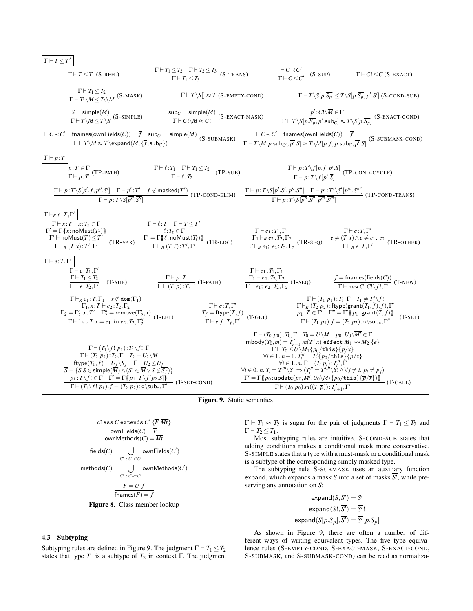| $\Gamma \vdash T \leq T'$                                                                                                                                                                                                                                                                                                                                                                                                                                                                                                                                                          |                                                                                                                                                                                                                                                                                                  |                                                                                                                                                                                                                                                                                                                                                                                                                                                                                                                                                                                                                                                                                                                               |                                                                                                                                                                                                                                                                                                                              |                                                                                                                                                                             |
|------------------------------------------------------------------------------------------------------------------------------------------------------------------------------------------------------------------------------------------------------------------------------------------------------------------------------------------------------------------------------------------------------------------------------------------------------------------------------------------------------------------------------------------------------------------------------------|--------------------------------------------------------------------------------------------------------------------------------------------------------------------------------------------------------------------------------------------------------------------------------------------------|-------------------------------------------------------------------------------------------------------------------------------------------------------------------------------------------------------------------------------------------------------------------------------------------------------------------------------------------------------------------------------------------------------------------------------------------------------------------------------------------------------------------------------------------------------------------------------------------------------------------------------------------------------------------------------------------------------------------------------|------------------------------------------------------------------------------------------------------------------------------------------------------------------------------------------------------------------------------------------------------------------------------------------------------------------------------|-----------------------------------------------------------------------------------------------------------------------------------------------------------------------------|
| $\Gamma \vdash T \leq T$ (S-REFL)                                                                                                                                                                                                                                                                                                                                                                                                                                                                                                                                                  | $\frac{\Gamma\vdash T_1 \leq T_2\quad \Gamma\vdash T_2 \leq T_3}{\Gamma\vdash T_1 < T_3}$ (S-TRANS)                                                                                                                                                                                              | $\frac{\vdash C \prec C'}{\Gamma \vdash C \leq C'}$ (S-SUP)                                                                                                                                                                                                                                                                                                                                                                                                                                                                                                                                                                                                                                                                   |                                                                                                                                                                                                                                                                                                                              | $\Gamma \vdash C! \leq C \text{ (S-EXACT)}$                                                                                                                                 |
| $\frac{\Gamma\vdash T_1 \leq T_2}{\Gamma\vdash T_1\setminus M \leq T_2\setminus M}$ (S-MASK)                                                                                                                                                                                                                                                                                                                                                                                                                                                                                       | $\Gamma \vdash T\backslash S[] \approx T$ (S-EMPTY-COND)                                                                                                                                                                                                                                         |                                                                                                                                                                                                                                                                                                                                                                                                                                                                                                                                                                                                                                                                                                                               |                                                                                                                                                                                                                                                                                                                              | $\Gamma \vdash T \setminus S[\overline{p}.\overline{S_p}] \leq T \setminus S[\overline{p}.\overline{S_p}, p'.S']$ (S-COND-SUB)                                              |
| $\frac{S = \text{simple}(M)}{\Gamma \vdash T \setminus M \leq T \setminus S}$ (S-SIMPLE)                                                                                                                                                                                                                                                                                                                                                                                                                                                                                           | $\frac{\mathsf{sub}_C = \mathsf{simple}(M)}{\Gamma \vdash C! \setminus M \approx C!}$ (S-EXACT-MASK)                                                                                                                                                                                             |                                                                                                                                                                                                                                                                                                                                                                                                                                                                                                                                                                                                                                                                                                                               |                                                                                                                                                                                                                                                                                                                              | $\frac{p':C!\sqrt{M}\in\Gamma}{\Gamma\vdash T\backslash S[\overline{p}.\overline{S_p},p'.\textsf{sub}_C]\approx T\backslash S[\overline{p}.\overline{S_n}]}$ (S-EXACT-COND) |
| $\frac{\vdash C \prec C' \quad \textsf{frames}(\textsf{ownFields}(C)) = \overline{f} \quad \textsf{sub}_{C'} = \textsf{simple}(M)}{\Gamma \vdash T \setminus M \approx T \setminus \textsf{expand}(M, \{\overline{f}, \textsf{sub}_C\})} \quad \textsf{(S-SUBMASK)} \quad \frac{\vdash C \prec C' \quad \textsf{frames}(\textsf{ownFields}(C)) = \overline{f}}{\Gamma \vdash T \setminus M[p \cdot \textsf{sub}_{C'}, \overline{p'} \cdot \overline{S}] \approx T \setminus M[p \cdot \overline{f}, p \cdot \textsf{sub}_C, \overline{p'} \cdot \overline{S}]} \quad$              |                                                                                                                                                                                                                                                                                                  |                                                                                                                                                                                                                                                                                                                                                                                                                                                                                                                                                                                                                                                                                                                               |                                                                                                                                                                                                                                                                                                                              |                                                                                                                                                                             |
| $\Gamma \vdash p : T$                                                                                                                                                                                                                                                                                                                                                                                                                                                                                                                                                              |                                                                                                                                                                                                                                                                                                  |                                                                                                                                                                                                                                                                                                                                                                                                                                                                                                                                                                                                                                                                                                                               |                                                                                                                                                                                                                                                                                                                              |                                                                                                                                                                             |
| $\frac{p:T \in \Gamma}{\Gamma \vdash p:T}$ (TP-PATH)                                                                                                                                                                                                                                                                                                                                                                                                                                                                                                                               | $\frac{\Gamma \vdash \ell : T_1 \quad \Gamma \vdash T_1 \leq T_2}{\Gamma \vdash \ell : T_2} \quad (\text{TP-SUB})$                                                                                                                                                                               |                                                                                                                                                                                                                                                                                                                                                                                                                                                                                                                                                                                                                                                                                                                               | $\frac{\Gamma\vdash p:T\backslash f[p.f,p'.\overline{S}]}{\Gamma\vdash p:T\backslash f[\overline{p'}.\overline{S}]}$ (TP-COND-CYCLE)                                                                                                                                                                                         |                                                                                                                                                                             |
| $\frac{\Gamma\vdash p\!:\!T\backslash\mathcal{S}[p'.f,\overline{p''}.\overline{S'}]\quad \Gamma\vdash p'\!:\!T'\quad f\not\in\mathsf{masked}(T')}{\Gamma\vdash p\!:\!T\backslash\mathcal{S}[\overline{p''}.\overline{S''}]} \text{ (TP-COND-ELIM)}$                                                                                                                                                                                                                                                                                                                                |                                                                                                                                                                                                                                                                                                  | $\frac{\Gamma\vdash p\!:\!T\backslash S[p'.S',\overline{p''}.\overline{S''}]\quad \Gamma\vdash p'\!:\!T'\backslash S'\overline{[p'''.\overline{S''}']}\ \text{(TP-COND-TRANS)}}{\Gamma\vdash p\!:\!T\backslash S\overline{[p'',\overline{S''}]}\ \overline{p'''.\overline{S'''}}]}\ \text{(TP-COND-TRANS)}$                                                                                                                                                                                                                                                                                                                                                                                                                   |                                                                                                                                                                                                                                                                                                                              |                                                                                                                                                                             |
| $\Gamma\vdash_R e:T,\Gamma'$<br>$\overline{\Gamma \vdash x : T}$ $x : T_x \in \Gamma$<br>$\Gamma' = \Gamma \{x : \text{noMust}(T_x)\}\$<br>$\Gamma' \vdash \mathsf{noMust}(T) \leq T'$<br>$\Gamma\vdash_R(T x) : T', \Gamma'$                                                                                                                                                                                                                                                                                                                                                      | $\Gamma \vdash \ell : T \quad \Gamma \vdash T \leq T'$<br>$\ell\!:\!T_{\ell}\in\Gamma$<br>$\frac{1}{\sqrt{\pi}}$<br>(TR-VAR) $\frac{\Gamma' = \Gamma\{ \ell : n \in \mathbb{N} \atop \Gamma \vdash_R (\Gamma \ell) : T', \Gamma'} (\text{TR-LOC})}{\Gamma \vdash_R (\Gamma \ell) : T', \Gamma'}$ | $\frac{\Gamma \vdash e_1 : T_1, \Gamma_1 \qquad \qquad \Gamma \vdash e : T, \Gamma'}{\Gamma \vdash_{R} e_1 : e_2 : T_2, \Gamma_2}$ (TR-SEQ) $\frac{e \neq (T x) \land e \neq e_1; e_2}{\Gamma \vdash_{R} e : T, \Gamma'}$ (TR-OTHER)                                                                                                                                                                                                                                                                                                                                                                                                                                                                                          |                                                                                                                                                                                                                                                                                                                              |                                                                                                                                                                             |
| $\Gamma \vdash e\!:\!T,\Gamma'$<br>$\Gamma \vdash e : T_1, \Gamma'$<br>$\frac{\Gamma \vdash T_1 \leq T_2}{\Gamma \vdash e : T_2, \Gamma'}$<br>$(T-SUB)$                                                                                                                                                                                                                                                                                                                                                                                                                            | $\frac{\Gamma \vdash p:T}{\Gamma \vdash (T p):T,\Gamma}$ (T-PATH) $\frac{\Gamma_1 \vdash e_2:T_2,\Gamma_2}{\Gamma \vdash e_1,e_2:T_2,\Gamma_2}$ (T-SEQ) $\frac{\overline{f}}{\Gamma \vdash \text{new } C:C!\setminus \overline{f}!,\Gamma}$                                                      | $\Gamma\vdash e_1$ : $T_1,\Gamma_1$                                                                                                                                                                                                                                                                                                                                                                                                                                                                                                                                                                                                                                                                                           |                                                                                                                                                                                                                                                                                                                              | $(T-NEW)$                                                                                                                                                                   |
| $\Gamma\vdash_R e_1 : T,\Gamma_1 \quad x \notin \text{dom}(\Gamma_1)$<br>$\Gamma_1, x: T \vdash e_2: T_2, \Gamma_2$<br>$\frac{\Gamma_2 = \Gamma'_2, x: T' \quad \Gamma''_2 = \text{remove}(\Gamma'_2, x)}{\Gamma \vdash \text{let } T \ x = e_1 \text{ in } e_2: T_2, \Gamma''_2}$ (T-LET)                                                                                                                                                                                                                                                                                         | $\Gamma \vdash e : T.\Gamma'$<br>$\frac{T_f = \text{ftype}(T, f)}{\Gamma \vdash e, f : T_f, \Gamma'}$ (T-GET)                                                                                                                                                                                    |                                                                                                                                                                                                                                                                                                                                                                                                                                                                                                                                                                                                                                                                                                                               | $\Gamma \vdash (T_1 \ p_1) : T_1, \Gamma \quad T_1 \neq T_1' \backslash f!$<br>$\Gamma \vdash_R (T_2 \ p_2)$ : ftype(grant $(T_1, f), f$ ), $\Gamma'$<br>$\frac{p_1: T \in \Gamma' \cap \Gamma'' = \Gamma'\{p_1 : \text{grant}(T, f)\}}{\Gamma \vdash (T_1 \ p_1).f = (T_2 \ p_2) : \circ \succ \text{sub}_\circ, \Gamma''}$ | $(T-SET)$                                                                                                                                                                   |
| $\Gamma \vdash (T_1 \backslash f! p_1): T_1 \backslash f!, \Gamma$<br>$\Gamma \vdash (T_2 \ p_2) : T_2, \Gamma \quad T_2 = U_2 \backslash \overline{M}$<br>ftype $(T_1, f) = U_f \backslash \overline{S_f}$ $\Gamma \vdash U_2 \leq U_f$<br>$\overline{S} = \{S   S \in \mathsf{simple}(\overline{M}) \wedge (S^1 \in \overline{M} \vee S \notin \overline{S_f})\}$<br>$p_1: T \backslash f! \in \Gamma \quad \Gamma' = \Gamma\{p_1: T \backslash f[p_2.\overline{S}]\}$<br>$\Gamma \vdash (T_1 \backslash f! p_1) . f = (T_2 p_2) : \circ \backslash \mathsf{sub}_\circ, \Gamma'$ | – (T-SET-COND)                                                                                                                                                                                                                                                                                   | $\Gamma \vdash (T_0 \ p_0) : T_0, \Gamma \quad T_0 = U \backslash \overline{M} \quad p_0 : U_0 \backslash \overline{M'} \in \Gamma$<br>$\mathsf{mbody}(T_0,m) = T'_{n+1} ~\underline{m}(\overline{T'}~\overline{x})~\mathtt{effect}~\overline{M_1} \leadsto \overline{M_2}~\{e\}$<br>$\forall i \in 1n+1. T_i'' = T_i' \{p_0/\text{this}}\{\overline{p}/\overline{x}\}$<br>$\forall i \in 1n. \Gamma \vdash (T_i p_i): T_i'' , \Gamma$<br>$\forall i \in 0n. T_i = T''' \setminus S! \Rightarrow (T_i'' = T''' \setminus S! \land \forall j \neq i. p_i \neq p_j)$<br>$\Gamma' = \Gamma\{\!\!\{p_0\!:\!{\sf update}(p_0,\overline{M'},U_0\backslash\overline{M_2}\{p_0/\mathtt{this}\}\{\overline{p}/\overline{x}\})\}\!\!\}$ | $\Gamma \vdash T_0 \leq U\backslash \overline{M_1} \{p_0/\mathtt{this}\}\{\overline{p}/\overline{x}\}$<br>$\Gamma \vdash (T_0 \ p_0) . m((\overline{T} \ \overline{p})): T'_{n+1}, \Gamma'$                                                                                                                                  | - (T-CALL)                                                                                                                                                                  |

Figure 9. Static semantics

| class C extends C' {F \overline{M} }       |
|--------------------------------------------|
| ownFields(C) = F                           |
| ownMethods(C) = \overline{M}t              |
| fields(C) = \bigcup_{C': C \prec^* C'}     |
| methods(C) = \bigcup_{C': C \prec^* C'}    |
| $\overline{F} = \overline{U} \overline{f}$ |
| frames(F) = \overline{f}                   |

Figure 8. Class member lookup

# 4.3 Subtyping

Subtyping rules are defined in Figure 9. The judgment  $\Gamma \vdash T_1 \leq T_2$ states that type  $T_1$  is a subtype of  $T_2$  in context  $\Gamma$ . The judgment  $\Gamma \vdash T_1 \approx T_2$  is sugar for the pair of judgments  $\Gamma \vdash T_1 \leq T_2$  and  $\Gamma \vdash T_2 \leq T_1$ .

Most subtyping rules are intuitive. S-COND-SUB states that adding conditions makes a conditional mask more conservative. S-SIMPLE states that a type with a must-mask or a conditional mask is a subtype of the corresponding simply masked type.

The subtyping rule S-SUBMASK uses an auxiliary function expand, which expands a mask  $S$  into a set of masks  $\overline{S'}$ , while preserving any annotation on *S*:

$$
\begin{aligned} \textup{expand}(S,\overline{S'}) &= \overline{S'} \\ \textup{expand}(S!,\overline{S'}) &= \overline{S'}! \\ \textup{expand}(S[\overline{p}.\overline{S_p}],\overline{S'}) &= \overline{S'}[\overline{p}.\overline{S_p}] \end{aligned}
$$

As shown in Figure 9, there are often a number of different ways of writing equivalent types. The five type equivalence rules (S-EMPTY-COND, S-EXACT-MASK, S-EXACT-COND, S-SUBMASK, and S-SUBMASK-COND) can be read as normaliza-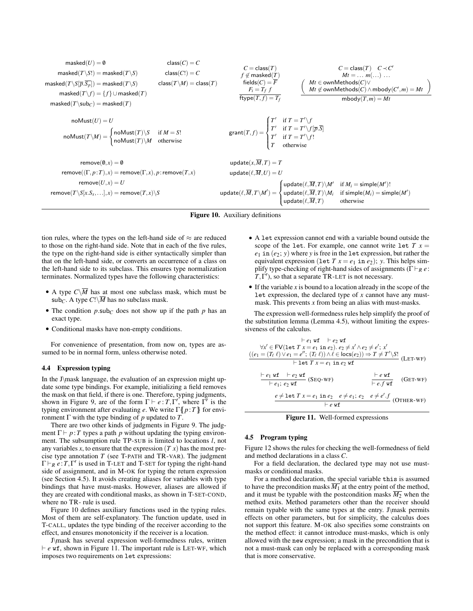$$
\begin{array}{llll} \mathrm{masked}(U)=\emptyset & \mathrm{class}(C)=C & C=\mathrm{class}(T) & C=\mathrm{class}(T) & C=\mathrm{class}(T) & C\leq C\\ \mathrm{masked}(T\backslash S!)=\mathrm{masked}(T\backslash S) & \mathrm{class}(C!)=C & f\not\in\mathrm{masked}(T) & Mt=\ldots m(\ldots)\ldots\\ \mathrm{masked}(T\backslash S|\overline{B,\overline{S_{p}}|})=\mathrm{masked}(T) & \mathrm{class}(T\backslash M)=\mathrm{class}(T) & \mathrm{fields}(C)=\overline{F} & \left(\begin{array}{cc} Mt\in\mathrm{ownMethod}(C)\vee & Mt=\ldots m(\ldots)\ldots\\ Mt\in\mathrm{ownMethod}(C)\vee & \overline{B\in T_{f}}\end{array}\right)\\ \mathrm{masked}(T\backslash\mathrm{subc})=\mathrm{masked}(T) & \mathrm{class}(T\backslash M)=\mathrm{class}(T) & \mathrm{fields}(C)=\overline{F} & \left(\begin{array}{cc} Mt\in\mathrm{ownMethod}(C)\vee & Mt=\ldots m(\ldots)\ldots\\ Mt\in\mathrm{ownMethod}(C)\wedge\mathrm{mod}(C\wedge\overline{B})\end{array}\right)\\ \mathrm{models}(T,\overline{f})=\overline{T_{f}} & \mathrm{if}\,\,T=T'\backslash f\\ \mathrm{mod}\mathrm{Mat}(T\backslash M)=\begin{cases} \mathrm{noMust}(T)\backslash S & \mathrm{if}\,\,M=S! & \mathrm{grant}(T,f)=\begin{cases} T' & \mathrm{if}\,\,T=T'\backslash f\\ T' & \mathrm{if}\,\,T=T'\backslash f\\ T' & \mathrm{if}\,\,T=T'\backslash f! & \mathrm{otherwise} \end{cases}\\ \mathrm{remove}(0,x)=\emptyset & \mathrm{update}(x,\overline{M},T)=T & \mathrm{update}(\ell,\overline{M},U)=U\\ \mathrm{remove}(T\backslash S[x.S_{x},\ldots],x)=\mathrm{remove}(T,x)\backslash S & \mathrm{update}(\ell,\overline{M},T\backslash M')=\begin{cases} \mathrm{update}(\ell,\overline{M},T)\backslash M' & \mathrm{if}\,\,M_{i}=\mathrm{simple}(M')\\ \mathrm{update}(\ell,\overline{M},T)\backslash M_{i} & \mathrm{if}\,\mathrm{simple}(M_{i})=\mathrm{simple}(M')\end{cases}\\ \mathrm{remove}(T\backslash\mathrm{S}[x.S_{x},\ldots],x)=\mathrm{remove}(
$$



tion rules, where the types on the left-hand side of  $\approx$  are reduced to those on the right-hand side. Note that in each of the five rules, the type on the right-hand side is either syntactically simpler than that on the left-hand side, or converts an occurrence of a class on the left-hand side to its subclass. This ensures type normalization terminates. Normalized types have the following characteristics:

- A type  $C\setminus\overline{M}$  has at most one subclass mask, which must be sub<sub>C</sub>. A type  $C! \setminus \overline{M}$  has no subclass mask.
- The condition  $p.\mathsf{sub}_C$  does not show up if the path  $p$  has an exact type.
- Conditional masks have non-empty conditions.

For convenience of presentation, from now on, types are assumed to be in normal form, unless otherwise noted.

## 4.4 Expression typing

In the J\mask language, the evaluation of an expression might update some type bindings. For example, initializing a field removes the mask on that field, if there is one. Therefore, typing judgments, shown in Figure 9, are of the form  $\Gamma \vdash e : T, \Gamma'$ , where  $\Gamma'$  is the typing environment after evaluating *e*. We write Γ{{*p*:*T*}} for environment Γ with the type binding of *p* updated to *T*.

There are two other kinds of judgments in Figure 9. The judgment  $\Gamma \vdash p : T$  types a path p without updating the typing environment. The subsumption rule TP-SUB is limited to locations *l*, not any variables *x*, to ensure that the expression  $(T x)$  has the most precise type annotation *T* (see T-PATH and TR-VAR). The judgment  $\Gamma \vdash_R e : T, \Gamma'$  is used in T-LET and T-SET for typing the right-hand side of assignment, and in M-OK for typing the return expression (see Section 4.5). It avoids creating aliases for variables with type bindings that have must-masks. However, aliases are allowed if they are created with conditional masks, as shown in T-SET-COND, where no TR- rule is used.

Figure 10 defines auxiliary functions used in the typing rules. Most of them are self-explanatory. The function update, used in T-CALL, updates the type binding of the receiver according to the effect, and ensures monotonicity if the receiver is a location.

J\mask has several expression well-formedness rules, written  $\vdash$  *e* wf, shown in Figure 11. The important rule is LET-WF, which imposes two requirements on let expressions:

- A let expression cannot end with a variable bound outside the scope of the let. For example, one cannot write let  $T x =$  $e_1$  in  $(e_2; y)$  where *y* is free in the let expression, but rather the equivalent expression (let  $T x = e_1$  in  $e_2$ ); *y*. This helps simplify type-checking of right-hand sides of assignments ( $\Gamma \vdash_R e$ :  $T, \overline{\Gamma}$ ), so that a separate TR-LET is not necessary.
- If the variable  $x$  is bound to a location already in the scope of the let expression, the declared type of *x* cannot have any mustmask. This prevents *x* from being an alias with must-masks.

The expression well-formedness rules help simplify the proof of the substitution lemma (Lemma 4.5), without limiting the expressiveness of the calculus.

$$
\forall x' \in \text{FV}(\text{let } T \ x = e_1 \text{ in } e_2). e_2 \neq x' \land e_2 \neq e'; x'
$$
\n
$$
\frac{((e_1 = (T_\ell \ell) \lor e_1 = e''; (T_\ell \ell)) \land \ell \in \text{locs}(e_2)) \Rightarrow T \neq T' \land S!}{\text{let } T \ x = e_1 \text{ in } e_2 \text{ wf}} \text{ (LET-WF)}
$$
\n
$$
\frac{\vdash e_1 \text{ wf } \vdash e_2 \text{ wf}}{\vdash e_1; e_2 \text{ wf}} \text{ (SEQ-WF)} \qquad \frac{\vdash e \text{ wf}}{\vdash e.f \text{ wf}} \text{ (GET-WF)}
$$
\n
$$
\frac{e \neq \text{let } T \ x = e_1 \text{ in } e_2 \quad e \neq e_1; e_2 \quad e \neq e', f}{\vdash e \text{ wf}} \text{ (OTHER-WF)}
$$

Figure 11. Well-formed expressions

#### 4.5 Program typing

Figure 12 shows the rules for checking the well-formedness of field and method declarations in a class *C*.

For a field declaration, the declared type may not use mustmasks or conditional masks.

For a method declaration, the special variable this is assumed to have the precondition masks  $\overline{M_1}$  at the entry point of the method, and it must be typable with the postcondition masks  $\overline{M_2}$  when the method exits. Method parameters other than the receiver should remain typable with the same types at the entry. J\mask permits effects on other parameters, but for simplicity, the calculus does not support this feature. M-OK also specifies some constraints on the method effect: it cannot introduce must-masks, which is only allowed with the new expression; a mask in the precondition that is not a must-mask can only be replaced with a corresponding mask that is more conservative.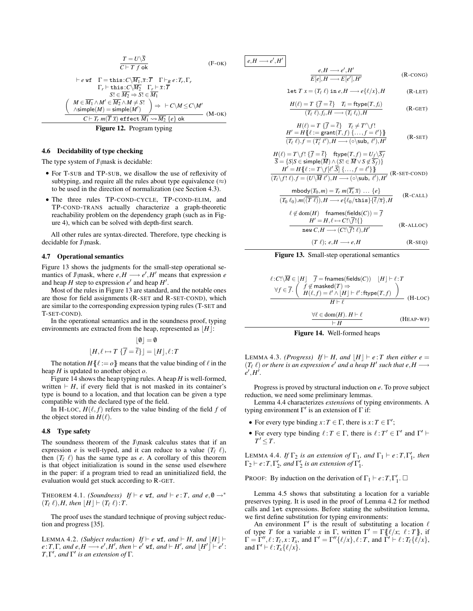$$
\frac{T = U\backslash \overline{S}}{C + T f \text{ ok}} \qquad (\text{F-OK})
$$
\n
$$
\vdash e \text{ wf} \quad \Gamma = \text{this}: C\backslash \overline{M_1}, \overline{x}: \overline{T} \quad \Gamma \vdash_R e: T_r, \Gamma_r
$$
\n
$$
\Gamma_r \vdash \text{this}: C\backslash \overline{M_2} \quad \Gamma_r \vdash \overline{x}: \overline{T}
$$
\n
$$
S! \in \overline{M_2} \Rightarrow S! \in \overline{M_1}
$$
\n
$$
\left( \begin{array}{c} M \in \overline{M_1} \land M' \in \overline{M_2} \land M \neq S! \\ \land \text{simple}(M) = \text{simple}(M') \end{array} \right) \Rightarrow \quad \vdash C\backslash M \leq C\backslash M'
$$
\n
$$
\frac{C + T_r \, m(\overline{T} \, \overline{x}) \, \text{effect} \, \overline{M_1} \leadsto \overline{M_2} \, \{e\} \, \text{ok}}{\text{Eisume 12. Program training}} \qquad (M - OK)
$$



#### 4.6 Decidability of type checking

The type system of J\mask is decidable:

- For T-SUB and TP-SUB, we disallow the use of reflexivity of subtyping, and require all the rules about type equivalence  $(\approx)$ to be used in the direction of normalization (see Section 4.3).
- The three rules TP-COND-CYCLE, TP-COND-ELIM, and TP-COND-TRANS actually characterize a graph-theoretic reachability problem on the dependency graph (such as in Figure 4), which can be solved with depth-first search.

All other rules are syntax-directed. Therefore, type checking is decidable for J\mask.

#### 4.7 Operational semantics

Figure 13 shows the judgments for the small-step operational semantics of J\mask, where  $e, H \longrightarrow e', H'$  means that expression *e* and heap  $H$  step to expression  $e'$  and heap  $H'$ .

Most of the rules in Figure 13 are standard, and the notable ones are those for field assignments (R-SET and R-SET-COND), which are similar to the corresponding expression typing rules (T-SET and T-SET-COND).

In the operational semantics and in the soundness proof, typing environments are extracted from the heap, represented as  $\vert H \vert$ :

$$
\begin{aligned} [\emptyset] &= \emptyset \\ [H, \ell &\mapsto T \{ \overline{f} = \overline{\ell} \}] &= [H], \ell : T \end{aligned}
$$

The notation  $H\{\ell := o\}$  means that the value binding of  $\ell$  in the heap *H* is updated to another object *o*.

Figure 14 shows the heap typing rules. A heap *H* is well-formed, written  $\vdash H$ , if every field that is not masked in its container's type is bound to a location, and that location can be given a type compatible with the declared type of the field.

In H-LOC,  $H(\ell, f)$  refers to the value binding of the field f of the object stored in  $H(\ell)$ .

## 4.8 Type safety

The soundness theorem of the J\mask calculus states that if an expression *e* is well-typed, and it can reduce to a value  $(T_\ell \ell)$ , then  $(T_\ell \ell)$  has the same type as *e*. A corollary of this theorem is that object initialization is sound in the sense used elsewhere in the paper: if a program tried to read an uninitialized field, the evaluation would get stuck according to R-GET.

THEOREM 4.1. *(Soundness)* If  $\vdash e$  wf, and  $\vdash e : T$ , and  $e, \emptyset \rightarrow^*$  $(T_{\ell} \ell), H$ , then  $|H| \vdash (T_{\ell} \ell): T$ .

The proof uses the standard technique of proving subject reduction and progress [35].

LEMMA 4.2. *(Subject reduction) If*  $\vdash$  *e* wf, and  $\vdash$  *H*, and  $\vert$ *H* $\vert$  $\vdash$  $e$ : *T*, *C*, and  $e$ , *H*  $\longrightarrow$  *e*', *H*', then  $\vdash$  *e*' wf, and  $\vdash$  *H*', and  $\lfloor$  *H*' $\rfloor$   $\vdash$  *e*':  $T, \Gamma'$ *, and*  $\Gamma'$  *is an extension of*  $\Gamma$ *.* 

$$
e,H\longrightarrow e',H'
$$

$$
\frac{e, H \longrightarrow e', H'}{E[e], H \longrightarrow E[e'], H'}
$$
 (R-CONG)

$$
\text{let } T \ x = (T_{\ell} \ \ell) \ \text{in } e, H \longrightarrow e \{ \ell/x \}, H \tag{R-LET}
$$

$$
\frac{H(\ell) = T \{\overline{f} = \overline{\ell}\} \quad T_i = \text{ftype}(T, f_i)}{(T_\ell \ell).f_i, H \longrightarrow (T_i \ell_i), H}
$$
 (R-GET)

$$
H(\ell) = T \{ \overline{f} = \overline{\ell} \} \quad T_{\ell} \neq T' \setminus f!
$$
  
\n
$$
\frac{H' = H \{ \ell := \text{grant}(T, f) \} \dots, f = \ell' \} \} \quad (\text{R-SET})
$$
  
\n
$$
\overline{(T_{\ell} \ell).f = (T'_{\ell} \ell'), H \longrightarrow (\circ \text{sub}, \ell'), H'}
$$

$$
H(\ell) = T \ f! \{ \overline{f} = \overline{\ell} \} \quad \text{ftype}(T, f) = U_f \setminus \overline{S_f}
$$
  

$$
\overline{S} = \{ S | S \in \text{simple}(\overline{M}) \land (S! \in \overline{M} \lor S \notin \overline{S_f}) \}
$$
  

$$
H' = H \{ \ell := T \setminus f[\ell'.\overline{S}] \{ \dots, f = \ell' \} \}
$$
  

$$
(T_{\ell} \setminus f! \ell).f = (U \setminus \overline{M} \ell'), H \longrightarrow (\circ \setminus \text{sub}, \ell'), H'
$$
 (R-SET-COND)

$$
\frac{\text{mbody}(T_0, m) = T_r m(\overline{T}_x \, \overline{x}) \, \dots \, \{e\}}{(T_0 \, \ell_0) . m(\overline{(T \, \ell)}) , H \longrightarrow e \{ \ell_0 / \text{this} \} \{ \overline{\ell}/\overline{x} \}, H} \qquad \text{(R-cALL)}
$$

$$
\ell \notin \text{dom}(H) \quad \text{frames}(\text{fields}(C)) = \overline{f}
$$
\n
$$
\frac{H' = H, \ell \mapsto C! \setminus \overline{f}! \{ \} }{\text{new } C, H \longrightarrow (C! \setminus \overline{f}! \ell), H'}
$$
\n
$$
(R-\text{ALLOC})
$$
\n
$$
(T \ell); e, H \longrightarrow e, H \quad (R-\text{SEQ})
$$



$$
\ell:C!\overline{M}\in[H]\quad\overline{f}=\text{frames}(\text{fields}(C))\quad[H]+\ell:T
$$
\n
$$
\forall f\in\overline{f}.\left(\begin{array}{c}f\notin\text{masked}(T)\Rightarrow\\H(\ell,f)=\ell'\wedge[H]+\ell':\text{ftype}(T,f)\end{array}\right)
$$
\n
$$
\frac{H+\ell}{H+\ell} \qquad\qquad(\text{H-LOC})
$$
\n
$$
\frac{\forall\ell\in\text{dom}(H)\cdot H+\ell}{H}\qquad\qquad(\text{HeAP-WF})
$$



LEMMA 4.3. *(Progress)* If  $\vdash$  *H*, and  $|H| \vdash e$ : *T* then either  $e =$  $(T_{\ell} \ell)$  *or there is an expression e' and a heap H' such that e, H*  $\longrightarrow$  $e^{\prime}$ ,  $H^{\prime}$ .

Progress is proved by structural induction on *e*. To prove subject reduction, we need some preliminary lemmas.

Lemma 4.4 characterizes *extensions* of typing environments. A typing environment  $\Gamma'$  is an extension of  $\Gamma$  if:

- For every type binding  $x: T \in \Gamma$ , there is  $x: T \in \Gamma'$ ;
- For every type binding  $\ell : T \in \Gamma$ , there is  $\ell : T' \in \Gamma'$  and  $\Gamma' \vdash$  $T' \leq T$ .

LEMMA 4.4. *If*  $\Gamma_2$  *is an extension of*  $\Gamma_1$ *, and*  $\Gamma_1 \vdash e : T, \Gamma'_1$ *, then*  $\Gamma_2 \vdash e : T, \Gamma'_2$ , and  $\Gamma'_2$  is an extension of  $\Gamma'_1$ .

PROOF: By induction on the derivation of  $\Gamma_1 \vdash e : T, \Gamma'_1$ .  $\Box$ 

Lemma 4.5 shows that substituting a location for a variable preserves typing. It is used in the proof of Lemma 4.2 for method calls and let expressions. Before stating the substitution lemma, we first define substitution for typing environments:

An environment  $\Gamma'$  is the result of substituting a location  $\ell$ of type *T* for a variable *x* in  $\Gamma$ , written  $\Gamma' = \Gamma \{ \ell / x; \ell : T \}$ , if  $\Gamma = \Gamma''$ ,  $\ell : T_{\ell}, x : T_x$ , and  $\Gamma' = \Gamma''\{\ell/x\}$ ,  $\ell : T$ , and  $\tilde{\Gamma}' \vdash \ell : T_{\ell}\{\ell/x\}$ , and  $\Gamma' \vdash \ell : T_x\{\ell/x\}.$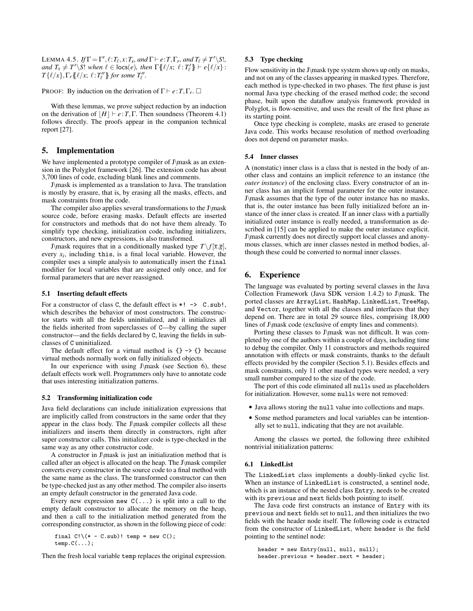LEMMA 4.5.  $\text{If } \Gamma = \Gamma', \ell : T_{\ell}, x : T_x \text{, and } \Gamma \vdash e : T, \Gamma_r \text{, and } T_{\ell} \neq T' \backslash S'.$ *and*  $T_x \neq T' \setminus S'$ ! *when*  $\ell \in \text{locs}(e)$ *, then*  $\Gamma \{ \ell / x; \ell : T'_{\ell} \} \vdash e \{ \ell / x \}$ :  $T\{\ell/x\}, \Gamma_r \{\ell/x; \ell : T''_{\ell}\}\$  *for some*  $T''_{\ell}$ .

PROOF: By induction on the derivation of  $\Gamma \vdash e : T, \Gamma_r$ .  $\Box$ 

With these lemmas, we prove subject reduction by an induction on the derivation of  $|H| \vdash e : T, \Gamma$ . Then soundness (Theorem 4.1) follows directly. The proofs appear in the companion technical report [27].

# 5. Implementation

We have implemented a prototype compiler of J\mask as an extension in the Polyglot framework [26]. The extension code has about 3,700 lines of code, excluding blank lines and comments.

J\mask is implemented as a translation to Java. The translation is mostly by erasure, that is, by erasing all the masks, effects, and mask constraints from the code.

The compiler also applies several transformations to the J\mask source code, before erasing masks. Default effects are inserted for constructors and methods that do not have them already. To simplify type checking, initialization code, including initializers, constructors, and new expressions, is also transformed.

J\mask requires that in a conditionally masked type  $T\ f[\bar{x}.\bar{g}]$ , every  $x_i$ , including this, is a final local variable. However, the compiler uses a simple analysis to automatically insert the final modifier for local variables that are assigned only once, and for formal parameters that are never reassigned.

# 5.1 Inserting default effects

For a constructor of class C, the default effect is  $*!$  -> C.sub!, which describes the behavior of most constructors. The constructor starts with all the fields uninitialized, and it initializes all the fields inherited from superclasses of C—by calling the super constructor—and the fields declared by C, leaving the fields in subclasses of C uninitialized.

The default effect for a virtual method is  $\{\} \rightarrow \{\}$  because virtual methods normally work on fully initialized objects.

In our experience with using  $J\mathbf{S}$  (see Section 6), these default effects work well. Programmers only have to annotate code that uses interesting initialization patterns.

## 5.2 Transforming initialization code

Java field declarations can include initialization expressions that are implicitly called from constructors in the same order that they appear in the class body. The J\mask compiler collects all these initializers and inserts them directly in constructors, right after super constructor calls. This initializer code is type-checked in the same way as any other constructor code.

A constructor in J\mask is just an initialization method that is called after an object is allocated on the heap. The J\mask compiler converts every constructor in the source code to a final method with the same name as the class. The transformed constructor can then be type-checked just as any other method. The compiler also inserts an empty default constructor in the generated Java code.

Every new expression new  $C(\ldots)$  is split into a call to the empty default constructor to allocate the memory on the heap, and then a call to the initialization method generated from the corresponding constructor, as shown in the following piece of code:

final  $C! \setminus (* - C.sub)!$  temp = new  $C()$ ; temp.C(...);

Then the fresh local variable temp replaces the original expression.

#### 5.3 Type checking

Flow sensitivity in the J\mask type system shows up only on masks, and not on any of the classes appearing in masked types. Therefore, each method is type-checked in two phases. The first phase is just normal Java type checking of the erased method code; the second phase, built upon the dataflow analysis framework provided in Polyglot, is flow-sensitive, and uses the result of the first phase as its starting point.

Once type checking is complete, masks are erased to generate Java code. This works because resolution of method overloading does not depend on parameter masks.

#### 5.4 Inner classes

A (nonstatic) inner class is a class that is nested in the body of another class and contains an implicit reference to an instance (the *outer instance*) of the enclosing class. Every constructor of an inner class has an implicit formal parameter for the outer instance. J\mask assumes that the type of the outer instance has no masks, that is, the outer instance has been fully initialized before an instance of the inner class is created. If an inner class with a partially initialized outer instance is really needed, a transformation as described in [15] can be applied to make the outer instance explicit. J\mask currently does not directly support local classes and anonymous classes, which are inner classes nested in method bodies, although these could be converted to normal inner classes.

# 6. Experience

The language was evaluated by porting several classes in the Java Collection Framework (Java SDK version 1.4.2) to J\mask. The ported classes are ArrayList, HashMap, LinkedList, TreeMap, and Vector, together with all the classes and interfaces that they depend on. There are in total 29 source files, comprising 18,000 lines of J\mask code (exclusive of empty lines and comments).

Porting these classes to J\mask was not difficult. It was completed by one of the authors within a couple of days, including time to debug the compiler. Only 11 constructors and methods required annotation with effects or mask constraints, thanks to the default effects provided by the compiler (Section 5.1). Besides effects and mask constraints, only 11 other masked types were needed, a very small number compared to the size of the code.

The port of this code eliminated all nulls used as placeholders for initialization. However, some nulls were not removed:

- Java allows storing the null value into collections and maps.
- Some method parameters and local variables can be intentionally set to null, indicating that they are not available.

Among the classes we ported, the following three exhibited nontrivial initialization patterns:

#### 6.1 LinkedList

The LinkedList class implements a doubly-linked cyclic list. When an instance of LinkedList is constructed, a sentinel node, which is an instance of the nested class Entry, needs to be created with its previous and next fields both pointing to itself.

The Java code first constructs an instance of Entry with its previous and next fields set to null, and then initializes the two fields with the header node itself. The following code is extracted from the constructor of LinkedList, where header is the field pointing to the sentinel node:

```
header = new Entry(null, null, null);
header.previous = header.next = header;
```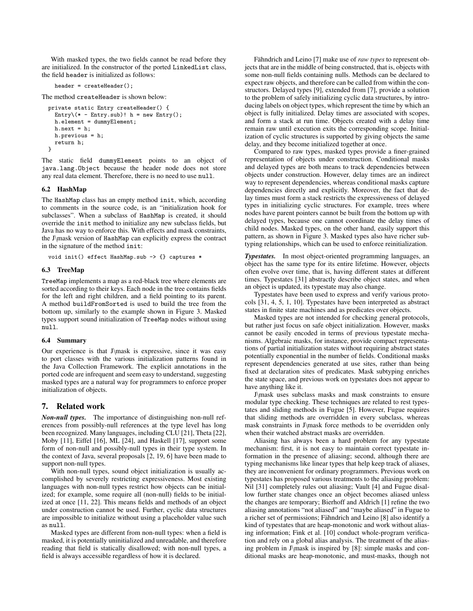With masked types, the two fields cannot be read before they are initialized. In the constructor of the ported LinkedList class, the field header is initialized as follows:

```
header = createHeader();
```
The method createHeader is shown below:

```
private static Entry createHeader() {
  Entry\setminus (* - Entry.sub)! h = new Entry();
  h.element = dummyElement;
 h.next = h;h.previous = h;
 return h;
}
```
The static field dummyElement points to an object of java.lang.Object because the header node does not store any real data element. Therefore, there is no need to use null.

# 6.2 HashMap

The HashMap class has an empty method init, which, according to comments in the source code, is an "initialization hook for subclasses". When a subclass of HashMap is created, it should override the init method to initialize any new subclass fields, but Java has no way to enforce this. With effects and mask constraints, the J\mask version of HashMap can explicitly express the contract in the signature of the method init:

void init() effect HashMap.sub -> {} captures \*

# 6.3 TreeMap

TreeMap implements a map as a red-black tree where elements are sorted according to their keys. Each node in the tree contains fields for the left and right children, and a field pointing to its parent. A method buildFromSorted is used to build the tree from the bottom up, similarly to the example shown in Figure 3. Masked types support sound initialization of TreeMap nodes without using null.

# 6.4 Summary

Our experience is that J\mask is expressive, since it was easy to port classes with the various initialization patterns found in the Java Collection Framework. The explicit annotations in the ported code are infrequent and seem easy to understand, suggesting masked types are a natural way for programmers to enforce proper initialization of objects.

# 7. Related work

*Non-null types.* The importance of distinguishing non-null references from possibly-null references at the type level has long been recognized. Many languages, including CLU [21], Theta [22], Moby [11], Eiffel [16], ML [24], and Haskell [17], support some form of non-null and possibly-null types in their type system. In the context of Java, several proposals [2, 19, 6] have been made to support non-null types.

With non-null types, sound object initialization is usually accomplished by severely restricting expressiveness. Most existing languages with non-null types restrict how objects can be initialized; for example, some require all (non-null) fields to be initialized at once [11, 22]. This means fields and methods of an object under construction cannot be used. Further, cyclic data structures are impossible to initialize without using a placeholder value such as null.

Masked types are different from non-null types: when a field is masked, it is potentially uninitialized and unreadable, and therefore reading that field is statically disallowed; with non-null types, a field is always accessible regardless of how it is declared.

Fähndrich and Leino [7] make use of *raw types* to represent objects that are in the middle of being constructed, that is, objects with some non-null fields containing nulls. Methods can be declared to expect raw objects, and therefore can be called from within the constructors. Delayed types [9], extended from [7], provide a solution to the problem of safely initializing cyclic data structures, by introducing labels on object types, which represent the time by which an object is fully initialized. Delay times are associated with scopes, and form a stack at run time. Objects created with a delay time remain raw until execution exits the corresponding scope. Initialization of cyclic structures is supported by giving objects the same delay, and they become initialized together at once.

Compared to raw types, masked types provide a finer-grained representation of objects under construction. Conditional masks and delayed types are both means to track dependencies between objects under construction. However, delay times are an indirect way to represent dependencies, whereas conditional masks capture dependencies directly and explicitly. Moreover, the fact that delay times must form a stack restricts the expressiveness of delayed types in initializing cyclic structures. For example, trees where nodes have parent pointers cannot be built from the bottom up with delayed types, because one cannot coordinate the delay times of child nodes. Masked types, on the other hand, easily support this pattern, as shown in Figure 3. Masked types also have richer subtyping relationships, which can be used to enforce reinitialization.

*Typestates.* In most object-oriented programming languages, an object has the same type for its entire lifetime. However, objects often evolve over time, that is, having different states at different times. Typestates [31] abstractly describe object states, and when an object is updated, its typestate may also change.

Typestates have been used to express and verify various protocols [31, 4, 5, 1, 10]. Typestates have been interpreted as abstract states in finite state machines and as predicates over objects.

Masked types are not intended for checking general protocols, but rather just focus on safe object initialization. However, masks cannot be easily encoded in terms of previous typestate mechanisms. Algebraic masks, for instance, provide compact representations of partial initialization states without requiring abstract states potentially exponential in the number of fields. Conditional masks represent dependencies generated at use sites, rather than being fixed at declaration sites of predicates. Mask subtyping enriches the state space, and previous work on typestates does not appear to have anything like it.

J\mask uses subclass masks and mask constraints to ensure modular type checking. These techniques are related to rest typestates and sliding methods in Fugue [5]. However, Fugue requires that sliding methods are overridden in every subclass, whereas mask constraints in J\mask force methods to be overridden only when their watched abstract masks are overridden.

Aliasing has always been a hard problem for any typestate mechanism: first, it is not easy to maintain correct typestate information in the presence of aliasing; second, although there are typing mechanisms like linear types that help keep track of aliases, they are inconvenient for ordinary programmers. Previous work on typestates has proposed various treatments to the aliasing problem: Nil [31] completely rules out aliasing; Vault [4] and Fugue disallow further state changes once an object becomes aliased unless the changes are temporary; Bierhoff and Aldrich [1] refine the two aliasing annotations "not aliased" and "maybe aliased" in Fugue to a richer set of permissions; Fähndrich and Leino [8] also identify a kind of typestates that are heap-monotonic and work without aliasing information; Fink et al. [10] conduct whole-program verification and rely on a global alias analysis. The treatment of the aliasing problem in J\mask is inspired by [8]: simple masks and conditional masks are heap-monotonic, and must-masks, though not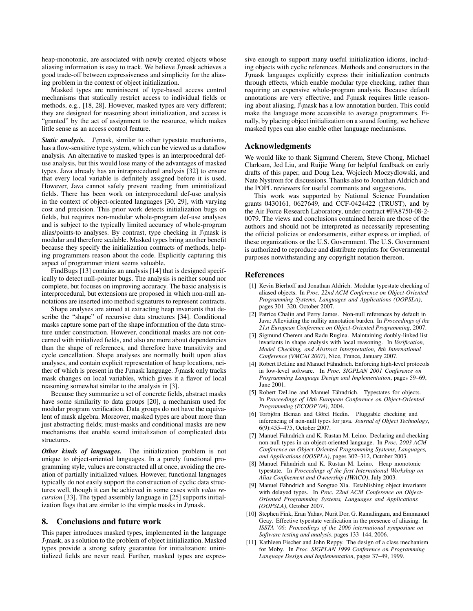heap-monotonic, are associated with newly created objects whose aliasing information is easy to track. We believe J\mask achieves a good trade-off between expressiveness and simplicity for the aliasing problem in the context of object initialization.

Masked types are reminiscent of type-based access control mechanisms that statically restrict access to individual fields or methods, e.g., [18, 28]. However, masked types are very different; they are designed for reasoning about initialization, and access is "granted" by the act of assignment to the resource, which makes little sense as an access control feature.

*Static analysis.* J\mask, similar to other typestate mechanisms, has a flow-sensitive type system, which can be viewed as a dataflow analysis. An alternative to masked types is an interprocedural defuse analysis, but this would lose many of the advantages of masked types. Java already has an intraprocedural analysis [32] to ensure that every local variable is definitely assigned before it is used. However, Java cannot safely prevent reading from uninitialized fields. There has been work on interprocedural def-use analysis in the context of object-oriented languages [30, 29], with varying cost and precision. This prior work detects initialization bugs on fields, but requires non-modular whole-program def-use analyses and is subject to the typically limited accuracy of whole-program alias/points-to analyses. By contrast, type checking in J\mask is modular and therefore scalable. Masked types bring another benefit because they specify the initialization contracts of methods, helping programmers reason about the code. Explicitly capturing this aspect of programmer intent seems valuable.

FindBugs [13] contains an analysis [14] that is designed specifically to detect null-pointer bugs. The analysis is neither sound nor complete, but focuses on improving accuracy. The basic analysis is interprocedural, but extensions are proposed in which non-null annotations are inserted into method signatures to represent contracts.

Shape analyses are aimed at extracting heap invariants that describe the "shape" of recursive data structures [34]. Conditional masks capture some part of the shape information of the data structure under construction. However, conditional masks are not concerned with initialized fields, and also are more about dependencies than the shape of references, and therefore have transitivity and cycle cancellation. Shape analyses are normally built upon alias analyses, and contain explicit representation of heap locations, neither of which is present in the J\mask language. J\mask only tracks mask changes on local variables, which gives it a flavor of local reasoning somewhat similar to the analysis in [3].

Because they summarize a set of concrete fields, abstract masks have some similarity to data groups [20], a mechanism used for modular program verification. Data groups do not have the equivalent of mask algebra. Moreover, masked types are about more than just abstracting fields; must-masks and conditional masks are new mechanisms that enable sound initialization of complicated data structures.

*Other kinds of languages.* The initialization problem is not unique to object-oriented languages. In a purely functional programming style, values are constructed all at once, avoiding the creation of partially initialized values. However, functional languages typically do not easily support the construction of cyclic data structures well, though it can be achieved in some cases with *value recursion* [33]. The typed assembly language in [25] supports initialization flags that are similar to the simple masks in J\mask.

## 8. Conclusions and future work

This paper introduces masked types, implemented in the language J\mask, as a solution to the problem of object initialization. Masked types provide a strong safety guarantee for initialization: uninitialized fields are never read. Further, masked types are expres-

sive enough to support many useful initialization idioms, including objects with cyclic references. Methods and constructors in the J\mask languages explicitly express their initialization contracts through effects, which enable modular type checking, rather than requiring an expensive whole-program analysis. Because default annotations are very effective, and J\mask requires little reasoning about aliasing, J\mask has a low annotation burden. This could make the language more accessible to average programmers. Finally, by placing object initialization on a sound footing, we believe masked types can also enable other language mechanisms.

#### Acknowledgments

We would like to thank Sigmund Cherem, Steve Chong, Michael Clarkson, Jed Liu, and Ruijie Wang for helpful feedback on early drafts of this paper, and Doug Lea, Wojciech Moczydlowski, and Nate Nystrom for discussions. Thanks also to Jonathan Aldrich and the POPL reviewers for useful comments and suggestions.

This work was supported by National Science Foundation grants 0430161, 0627649, and CCF-0424422 (TRUST), and by the Air Force Research Laboratory, under contract #FA8750-08-2- 0079. The views and conclusions contained herein are those of the authors and should not be interpreted as necessarily representing the official policies or endorsements, either express or implied, of these organizations or the U.S. Government. The U.S. Government is authorized to reproduce and distribute reprints for Governmental purposes notwithstanding any copyright notation thereon.

## References

- [1] Kevin Bierhoff and Jonathan Aldrich. Modular typestate checking of aliased objects. In *Proc. 22nd ACM Conference on Object-Oriented Programming Systems, Languages and Applications (OOPSLA)*, pages 301–320, October 2007.
- [2] Patrice Chalin and Perry James. Non-null references by default in Java: Alleviating the nullity annotation burden. In *Proceedings of the 21st European Conference on Object-Oriented Programming*, 2007.
- [3] Sigmund Cherem and Radu Rugina. Maintaining doubly-linked list invariants in shape analysis with local reasoning. In *Verification, Model Checking, and Abstract Interpretation, 8th International Conference (VMCAI 2007)*, Nice, France, January 2007.
- [4] Robert DeLine and Manuel Fähndrich. Enforcing high-level protocols in low-level software. In *Proc. SIGPLAN 2001 Conference on Programming Language Design and Implementation*, pages 59–69, June 2001.
- [5] Robert DeLine and Manuel Fähndrich. Typestates for objects. In *Proceedings of 18th European Conference on Object-Oriented Programming (ECOOP'04)*, 2004.
- [6] Torbjörn Ekman and Görel Hedin. Pluggable checking and inferencing of non-null types for java. *Journal of Object Technology*, 6(9):455–475, October 2007.
- [7] Manuel Fähndrich and K. Rustan M. Leino. Declaring and checking non-null types in an object-oriented language. In *Proc. 2003 ACM Conference on Object-Oriented Programming Systems, Languages, and Applications (OOSPLA)*, pages 302–312, October 2003.
- [8] Manuel Fähndrich and K. Rustan M. Leino. Heap monotonic typestate. In *Proceedings of the first International Workshop on Alias Confinement and Ownership (IWACO)*, July 2003.
- [9] Manuel Fähndrich and Songtao Xia. Establishing object invariants with delayed types. In *Proc. 22nd ACM Conference on Object-Oriented Programming Systems, Languages and Applications (OOPSLA)*, October 2007.
- [10] Stephen Fink, Eran Yahav, Nurit Dor, G. Ramalingam, and Emmanuel Geay. Effective typestate verification in the presence of aliasing. In *ISSTA '06: Proceedings of the 2006 international symposium on Software testing and analysis*, pages 133–144, 2006.
- [11] Kathleen Fischer and John Reppy. The design of a class mechanism for Moby. In *Proc. SIGPLAN 1999 Conference on Programming Language Design and Implementation*, pages 37–49, 1999.